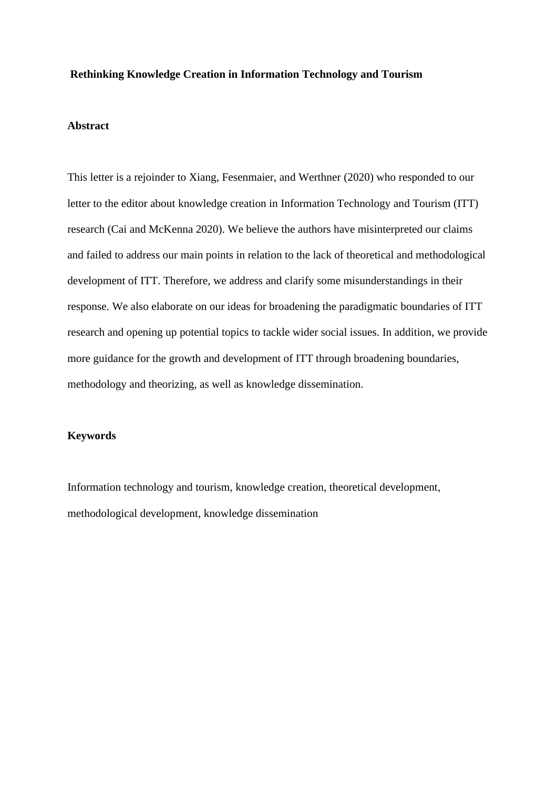#### **Rethinking Knowledge Creation in Information Technology and Tourism**

#### **Abstract**

This letter is a rejoinder to Xiang, Fesenmaier, and Werthner (2020) who responded to our letter to the editor about knowledge creation in Information Technology and Tourism (ITT) research (Cai and McKenna 2020). We believe the authors have misinterpreted our claims and failed to address our main points in relation to the lack of theoretical and methodological development of ITT. Therefore, we address and clarify some misunderstandings in their response. We also elaborate on our ideas for broadening the paradigmatic boundaries of ITT research and opening up potential topics to tackle wider social issues. In addition, we provide more guidance for the growth and development of ITT through broadening boundaries, methodology and theorizing, as well as knowledge dissemination.

### **Keywords**

Information technology and tourism, knowledge creation, theoretical development, methodological development, knowledge dissemination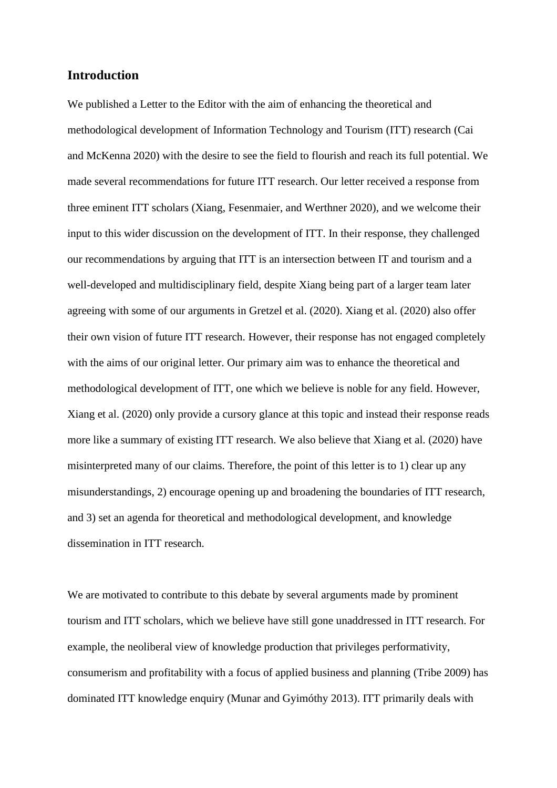# **Introduction**

We published a Letter to the Editor with the aim of enhancing the theoretical and methodological development of Information Technology and Tourism (ITT) research (Cai and McKenna 2020) with the desire to see the field to flourish and reach its full potential. We made several recommendations for future ITT research. Our letter received a response from three eminent ITT scholars (Xiang, Fesenmaier, and Werthner 2020), and we welcome their input to this wider discussion on the development of ITT. In their response, they challenged our recommendations by arguing that ITT is an intersection between IT and tourism and a well-developed and multidisciplinary field, despite Xiang being part of a larger team later agreeing with some of our arguments in Gretzel et al. (2020). Xiang et al. (2020) also offer their own vision of future ITT research. However, their response has not engaged completely with the aims of our original letter. Our primary aim was to enhance the theoretical and methodological development of ITT, one which we believe is noble for any field. However, Xiang et al. (2020) only provide a cursory glance at this topic and instead their response reads more like a summary of existing ITT research. We also believe that Xiang et al. (2020) have misinterpreted many of our claims. Therefore, the point of this letter is to 1) clear up any misunderstandings, 2) encourage opening up and broadening the boundaries of ITT research, and 3) set an agenda for theoretical and methodological development, and knowledge dissemination in ITT research.

We are motivated to contribute to this debate by several arguments made by prominent tourism and ITT scholars, which we believe have still gone unaddressed in ITT research. For example, the neoliberal view of knowledge production that privileges performativity, consumerism and profitability with a focus of applied business and planning (Tribe 2009) has dominated ITT knowledge enquiry (Munar and Gyimóthy 2013). ITT primarily deals with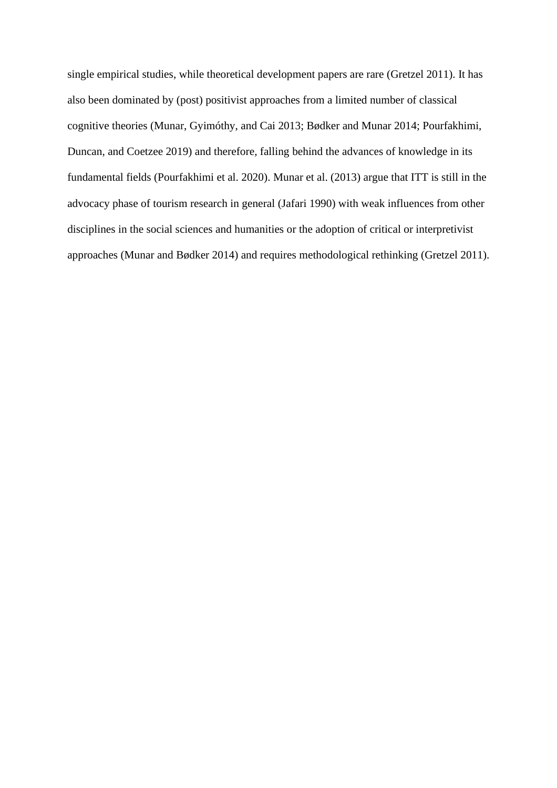single empirical studies, while theoretical development papers are rare (Gretzel 2011). It has also been dominated by (post) positivist approaches from a limited number of classical cognitive theories (Munar, Gyimóthy, and Cai 2013; Bødker and Munar 2014; Pourfakhimi, Duncan, and Coetzee 2019) and therefore, falling behind the advances of knowledge in its fundamental fields (Pourfakhimi et al. 2020). Munar et al. (2013) argue that ITT is still in the advocacy phase of tourism research in general (Jafari 1990) with weak influences from other disciplines in the social sciences and humanities or the adoption of critical or interpretivist approaches (Munar and Bødker 2014) and requires methodological rethinking (Gretzel 2011).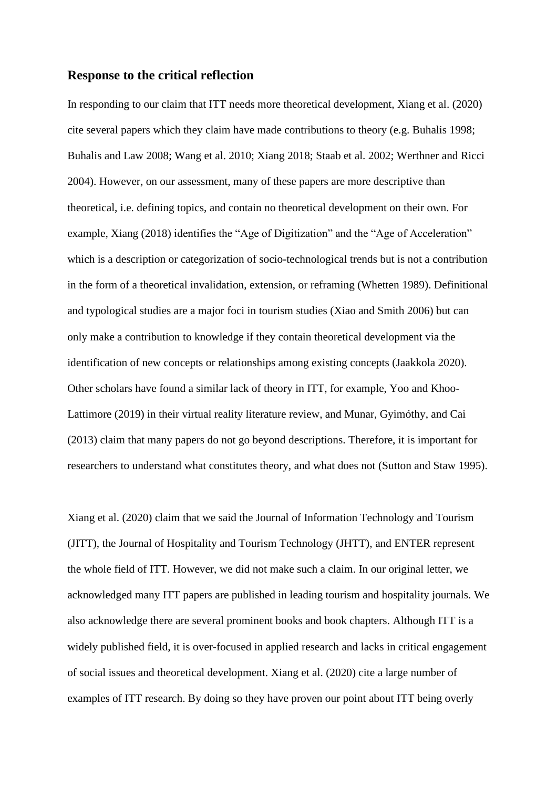#### **Response to the critical reflection**

In responding to our claim that ITT needs more theoretical development, Xiang et al. (2020) cite several papers which they claim have made contributions to theory (e.g. Buhalis 1998; Buhalis and Law 2008; Wang et al. 2010; Xiang 2018; Staab et al. 2002; Werthner and Ricci 2004). However, on our assessment, many of these papers are more descriptive than theoretical, i.e. defining topics, and contain no theoretical development on their own. For example, Xiang (2018) identifies the "Age of Digitization" and the "Age of Acceleration" which is a description or categorization of socio-technological trends but is not a contribution in the form of a theoretical invalidation, extension, or reframing (Whetten 1989). Definitional and typological studies are a major foci in tourism studies (Xiao and Smith 2006) but can only make a contribution to knowledge if they contain theoretical development via the identification of new concepts or relationships among existing concepts (Jaakkola 2020). Other scholars have found a similar lack of theory in ITT, for example, Yoo and Khoo-Lattimore (2019) in their virtual reality literature review, and Munar, Gyimóthy, and Cai (2013) claim that many papers do not go beyond descriptions. Therefore, it is important for researchers to understand what constitutes theory, and what does not (Sutton and Staw 1995).

Xiang et al. (2020) claim that we said the Journal of Information Technology and Tourism (JITT), the Journal of Hospitality and Tourism Technology (JHTT), and ENTER represent the whole field of ITT. However, we did not make such a claim. In our original letter, we acknowledged many ITT papers are published in leading tourism and hospitality journals. We also acknowledge there are several prominent books and book chapters. Although ITT is a widely published field, it is over-focused in applied research and lacks in critical engagement of social issues and theoretical development. Xiang et al. (2020) cite a large number of examples of ITT research. By doing so they have proven our point about ITT being overly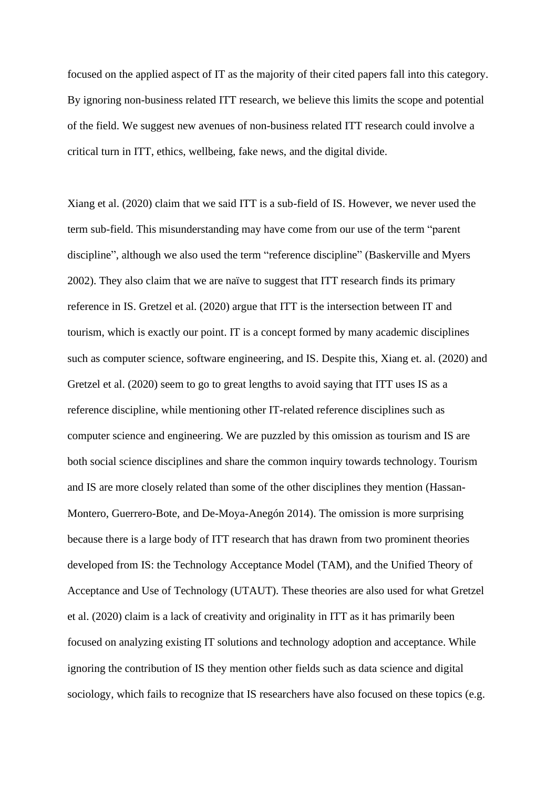focused on the applied aspect of IT as the majority of their cited papers fall into this category. By ignoring non-business related ITT research, we believe this limits the scope and potential of the field. We suggest new avenues of non-business related ITT research could involve a critical turn in ITT, ethics, wellbeing, fake news, and the digital divide.

Xiang et al. (2020) claim that we said ITT is a sub-field of IS. However, we never used the term sub-field. This misunderstanding may have come from our use of the term "parent discipline", although we also used the term "reference discipline" (Baskerville and Myers 2002). They also claim that we are naïve to suggest that ITT research finds its primary reference in IS. Gretzel et al. (2020) argue that ITT is the intersection between IT and tourism, which is exactly our point. IT is a concept formed by many academic disciplines such as computer science, software engineering, and IS. Despite this, Xiang et. al. (2020) and Gretzel et al. (2020) seem to go to great lengths to avoid saying that ITT uses IS as a reference discipline, while mentioning other IT-related reference disciplines such as computer science and engineering. We are puzzled by this omission as tourism and IS are both social science disciplines and share the common inquiry towards technology. Tourism and IS are more closely related than some of the other disciplines they mention (Hassan-Montero, Guerrero-Bote, and De-Moya-Anegón 2014). The omission is more surprising because there is a large body of ITT research that has drawn from two prominent theories developed from IS: the Technology Acceptance Model (TAM), and the Unified Theory of Acceptance and Use of Technology (UTAUT). These theories are also used for what Gretzel et al. (2020) claim is a lack of creativity and originality in ITT as it has primarily been focused on analyzing existing IT solutions and technology adoption and acceptance. While ignoring the contribution of IS they mention other fields such as data science and digital sociology, which fails to recognize that IS researchers have also focused on these topics (e.g.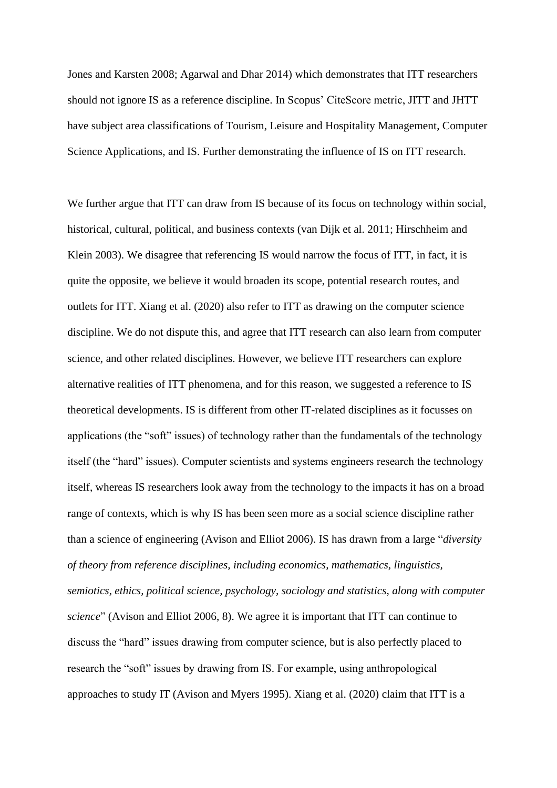Jones and Karsten 2008; Agarwal and Dhar 2014) which demonstrates that ITT researchers should not ignore IS as a reference discipline. In Scopus' CiteScore metric, JITT and JHTT have subject area classifications of Tourism, Leisure and Hospitality Management, Computer Science Applications, and IS. Further demonstrating the influence of IS on ITT research.

We further argue that ITT can draw from IS because of its focus on technology within social, historical, cultural, political, and business contexts (van Dijk et al. 2011; Hirschheim and Klein 2003). We disagree that referencing IS would narrow the focus of ITT, in fact, it is quite the opposite, we believe it would broaden its scope, potential research routes, and outlets for ITT. Xiang et al. (2020) also refer to ITT as drawing on the computer science discipline. We do not dispute this, and agree that ITT research can also learn from computer science, and other related disciplines. However, we believe ITT researchers can explore alternative realities of ITT phenomena, and for this reason, we suggested a reference to IS theoretical developments. IS is different from other IT-related disciplines as it focusses on applications (the "soft" issues) of technology rather than the fundamentals of the technology itself (the "hard" issues). Computer scientists and systems engineers research the technology itself, whereas IS researchers look away from the technology to the impacts it has on a broad range of contexts, which is why IS has been seen more as a social science discipline rather than a science of engineering (Avison and Elliot 2006). IS has drawn from a large "*diversity of theory from reference disciplines, including economics, mathematics, linguistics, semiotics, ethics, political science, psychology, sociology and statistics, along with computer science*" (Avison and Elliot 2006, 8). We agree it is important that ITT can continue to discuss the "hard" issues drawing from computer science, but is also perfectly placed to research the "soft" issues by drawing from IS. For example, using anthropological approaches to study IT (Avison and Myers 1995). Xiang et al. (2020) claim that ITT is a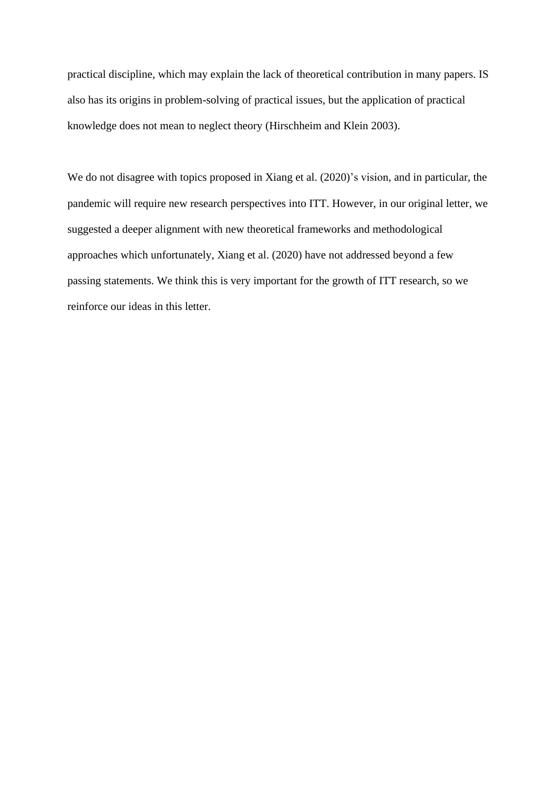practical discipline, which may explain the lack of theoretical contribution in many papers. IS also has its origins in problem-solving of practical issues, but the application of practical knowledge does not mean to neglect theory (Hirschheim and Klein 2003).

We do not disagree with topics proposed in Xiang et al. (2020)'s vision, and in particular, the pandemic will require new research perspectives into ITT. However, in our original letter, we suggested a deeper alignment with new theoretical frameworks and methodological approaches which unfortunately, Xiang et al. (2020) have not addressed beyond a few passing statements. We think this is very important for the growth of ITT research, so we reinforce our ideas in this letter.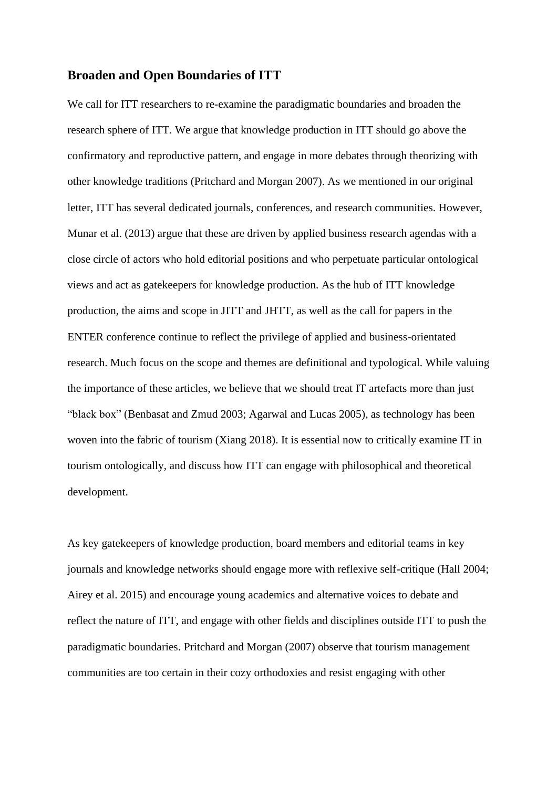## **Broaden and Open Boundaries of ITT**

We call for ITT researchers to re-examine the paradigmatic boundaries and broaden the research sphere of ITT. We argue that knowledge production in ITT should go above the confirmatory and reproductive pattern, and engage in more debates through theorizing with other knowledge traditions (Pritchard and Morgan 2007). As we mentioned in our original letter, ITT has several dedicated journals, conferences, and research communities. However, Munar et al. (2013) argue that these are driven by applied business research agendas with a close circle of actors who hold editorial positions and who perpetuate particular ontological views and act as gatekeepers for knowledge production. As the hub of ITT knowledge production, the aims and scope in JITT and JHTT, as well as the call for papers in the ENTER conference continue to reflect the privilege of applied and business-orientated research. Much focus on the scope and themes are definitional and typological. While valuing the importance of these articles, we believe that we should treat IT artefacts more than just "black box" (Benbasat and Zmud 2003; Agarwal and Lucas 2005), as technology has been woven into the fabric of tourism (Xiang 2018). It is essential now to critically examine IT in tourism ontologically, and discuss how ITT can engage with philosophical and theoretical development.

As key gatekeepers of knowledge production, board members and editorial teams in key journals and knowledge networks should engage more with reflexive self-critique (Hall 2004; Airey et al. 2015) and encourage young academics and alternative voices to debate and reflect the nature of ITT, and engage with other fields and disciplines outside ITT to push the paradigmatic boundaries. Pritchard and Morgan (2007) observe that tourism management communities are too certain in their cozy orthodoxies and resist engaging with other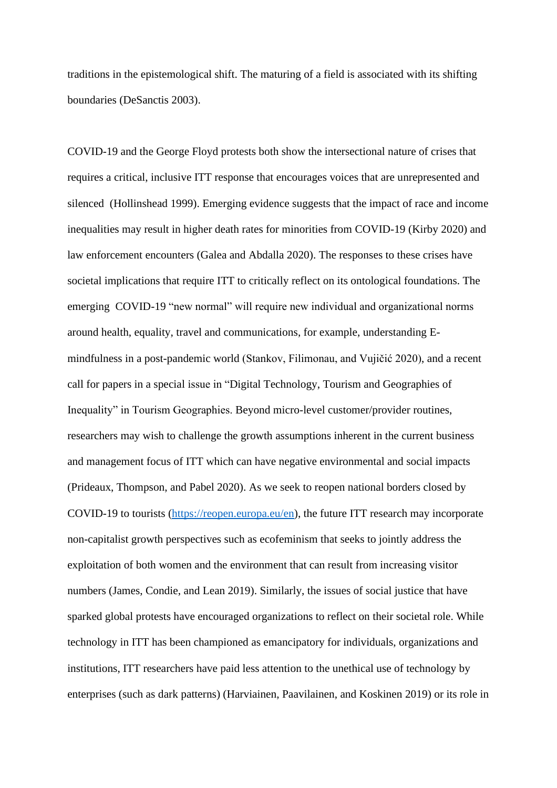traditions in the epistemological shift. The maturing of a field is associated with its shifting boundaries (DeSanctis 2003).

COVID-19 and the George Floyd protests both show the intersectional nature of crises that requires a critical, inclusive ITT response that encourages voices that are unrepresented and silenced (Hollinshead 1999). Emerging evidence suggests that the impact of race and income inequalities may result in higher death rates for minorities from COVID-19 (Kirby 2020) and law enforcement encounters (Galea and Abdalla 2020). The responses to these crises have societal implications that require ITT to critically reflect on its ontological foundations. The emerging COVID-19 "new normal" will require new individual and organizational norms around health, equality, travel and communications, for example, understanding Emindfulness in a post-pandemic world (Stankov, Filimonau, and Vujičić 2020), and a recent call for papers in a special issue in "Digital Technology, Tourism and Geographies of Inequality" in Tourism Geographies. Beyond micro-level customer/provider routines, researchers may wish to challenge the growth assumptions inherent in the current business and management focus of ITT which can have negative environmental and social impacts (Prideaux, Thompson, and Pabel 2020). As we seek to reopen national borders closed by COVID-19 to tourists [\(https://reopen.europa.eu/en\)](https://reopen.europa.eu/en), the future ITT research may incorporate non-capitalist growth perspectives such as ecofeminism that seeks to jointly address the exploitation of both women and the environment that can result from increasing visitor numbers (James, Condie, and Lean 2019). Similarly, the issues of social justice that have sparked global protests have encouraged organizations to reflect on their societal role. While technology in ITT has been championed as emancipatory for individuals, organizations and institutions, ITT researchers have paid less attention to the unethical use of technology by enterprises (such as dark patterns) (Harviainen, Paavilainen, and Koskinen 2019) or its role in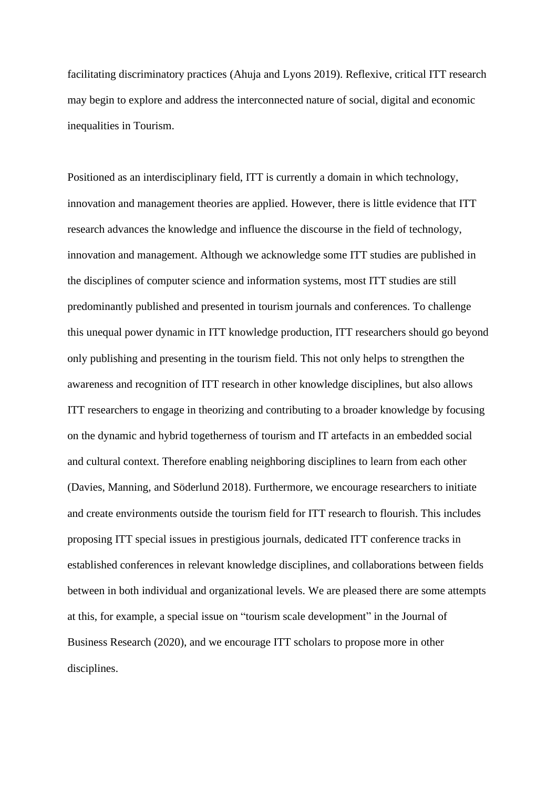facilitating discriminatory practices (Ahuja and Lyons 2019). Reflexive, critical ITT research may begin to explore and address the interconnected nature of social, digital and economic inequalities in Tourism.

Positioned as an interdisciplinary field, ITT is currently a domain in which technology, innovation and management theories are applied. However, there is little evidence that ITT research advances the knowledge and influence the discourse in the field of technology, innovation and management. Although we acknowledge some ITT studies are published in the disciplines of computer science and information systems, most ITT studies are still predominantly published and presented in tourism journals and conferences. To challenge this unequal power dynamic in ITT knowledge production, ITT researchers should go beyond only publishing and presenting in the tourism field. This not only helps to strengthen the awareness and recognition of ITT research in other knowledge disciplines, but also allows ITT researchers to engage in theorizing and contributing to a broader knowledge by focusing on the dynamic and hybrid togetherness of tourism and IT artefacts in an embedded social and cultural context. Therefore enabling neighboring disciplines to learn from each other (Davies, Manning, and Söderlund 2018). Furthermore, we encourage researchers to initiate and create environments outside the tourism field for ITT research to flourish. This includes proposing ITT special issues in prestigious journals, dedicated ITT conference tracks in established conferences in relevant knowledge disciplines, and collaborations between fields between in both individual and organizational levels. We are pleased there are some attempts at this, for example, a special issue on "tourism scale development" in the Journal of Business Research (2020), and we encourage ITT scholars to propose more in other disciplines.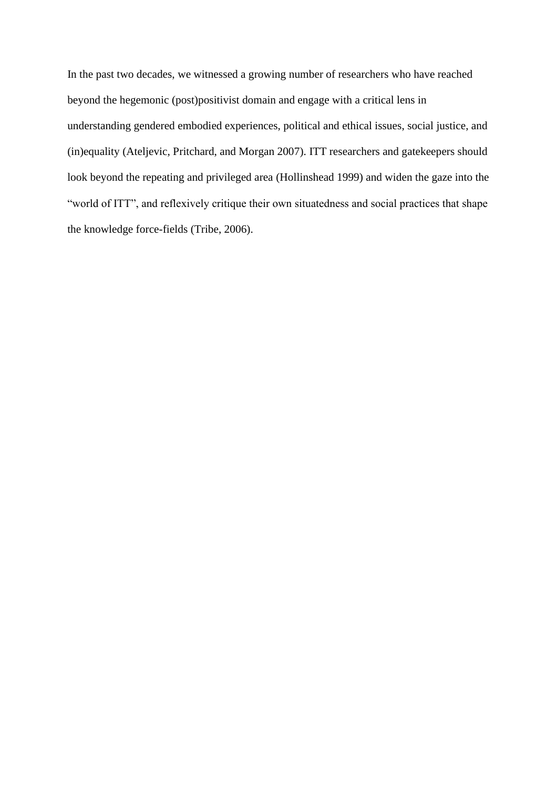In the past two decades, we witnessed a growing number of researchers who have reached beyond the hegemonic (post)positivist domain and engage with a critical lens in understanding gendered embodied experiences, political and ethical issues, social justice, and (in)equality (Ateljevic, Pritchard, and Morgan 2007). ITT researchers and gatekeepers should look beyond the repeating and privileged area (Hollinshead 1999) and widen the gaze into the "world of ITT", and reflexively critique their own situatedness and social practices that shape the knowledge force-fields (Tribe, 2006).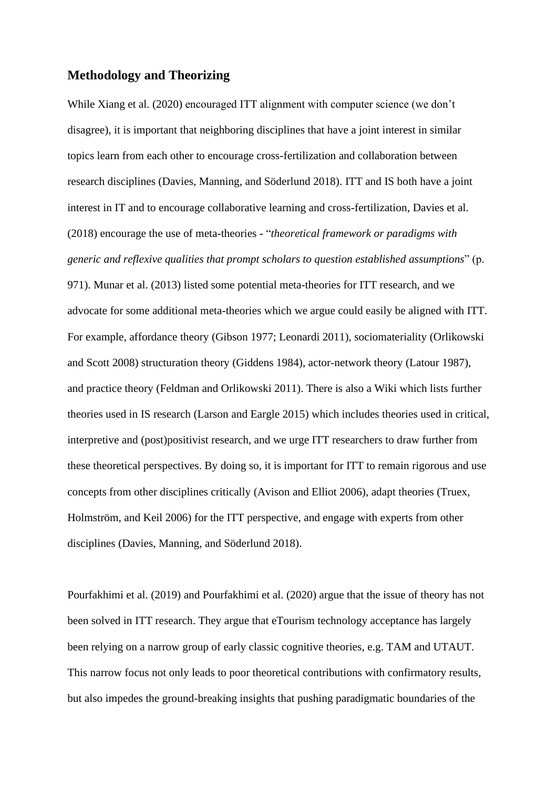# **Methodology and Theorizing**

While Xiang et al. (2020) encouraged ITT alignment with computer science (we don't disagree), it is important that neighboring disciplines that have a joint interest in similar topics learn from each other to encourage cross-fertilization and collaboration between research disciplines (Davies, Manning, and Söderlund 2018). ITT and IS both have a joint interest in IT and to encourage collaborative learning and cross-fertilization, Davies et al. (2018) encourage the use of meta-theories - "*theoretical framework or paradigms with generic and reflexive qualities that prompt scholars to question established assumptions*" (p. 971). Munar et al. (2013) listed some potential meta-theories for ITT research, and we advocate for some additional meta-theories which we argue could easily be aligned with ITT. For example, affordance theory (Gibson 1977; Leonardi 2011), sociomateriality (Orlikowski and Scott 2008) structuration theory (Giddens 1984), actor-network theory (Latour 1987), and practice theory (Feldman and Orlikowski 2011). There is also a Wiki which lists further theories used in IS research (Larson and Eargle 2015) which includes theories used in critical, interpretive and (post)positivist research, and we urge ITT researchers to draw further from these theoretical perspectives. By doing so, it is important for ITT to remain rigorous and use concepts from other disciplines critically (Avison and Elliot 2006), adapt theories (Truex, Holmström, and Keil 2006) for the ITT perspective, and engage with experts from other disciplines (Davies, Manning, and Söderlund 2018).

Pourfakhimi et al. (2019) and Pourfakhimi et al. (2020) argue that the issue of theory has not been solved in ITT research. They argue that eTourism technology acceptance has largely been relying on a narrow group of early classic cognitive theories, e.g. TAM and UTAUT. This narrow focus not only leads to poor theoretical contributions with confirmatory results, but also impedes the ground-breaking insights that pushing paradigmatic boundaries of the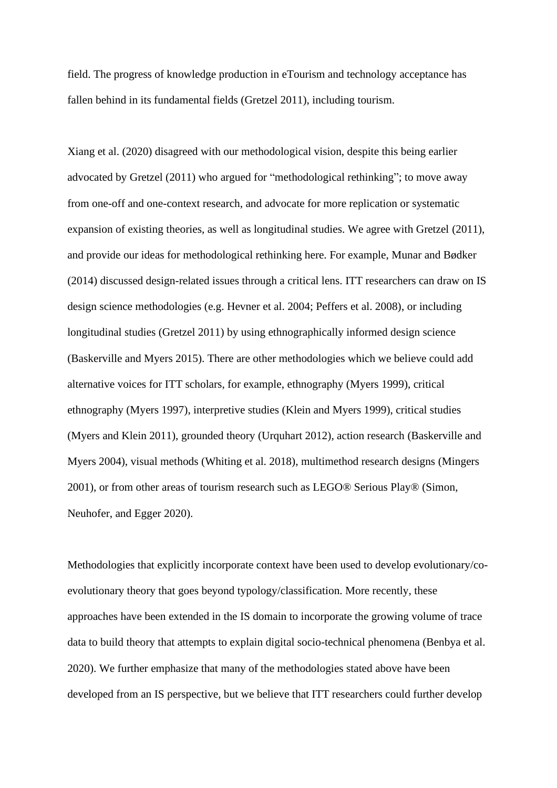field. The progress of knowledge production in eTourism and technology acceptance has fallen behind in its fundamental fields (Gretzel 2011), including tourism.

Xiang et al. (2020) disagreed with our methodological vision, despite this being earlier advocated by Gretzel (2011) who argued for "methodological rethinking"; to move away from one-off and one-context research, and advocate for more replication or systematic expansion of existing theories, as well as longitudinal studies. We agree with Gretzel (2011), and provide our ideas for methodological rethinking here. For example, Munar and Bødker (2014) discussed design-related issues through a critical lens. ITT researchers can draw on IS design science methodologies (e.g. Hevner et al. 2004; Peffers et al. 2008), or including longitudinal studies (Gretzel 2011) by using ethnographically informed design science (Baskerville and Myers 2015). There are other methodologies which we believe could add alternative voices for ITT scholars, for example, ethnography (Myers 1999), critical ethnography (Myers 1997), interpretive studies (Klein and Myers 1999), critical studies (Myers and Klein 2011), grounded theory (Urquhart 2012), action research (Baskerville and Myers 2004), visual methods (Whiting et al. 2018), multimethod research designs (Mingers 2001), or from other areas of tourism research such as LEGO® Serious Play® (Simon, Neuhofer, and Egger 2020).

Methodologies that explicitly incorporate context have been used to develop evolutionary/coevolutionary theory that goes beyond typology/classification. More recently, these approaches have been extended in the IS domain to incorporate the growing volume of trace data to build theory that attempts to explain digital socio-technical phenomena (Benbya et al. 2020). We further emphasize that many of the methodologies stated above have been developed from an IS perspective, but we believe that ITT researchers could further develop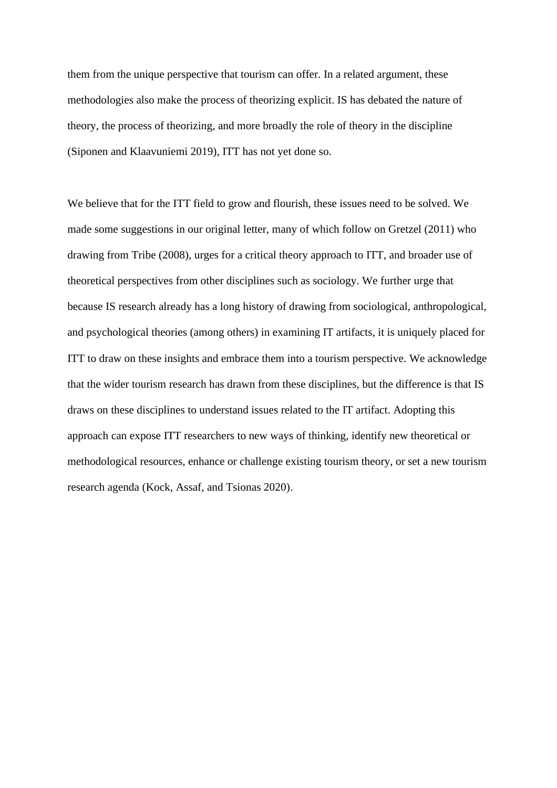them from the unique perspective that tourism can offer. In a related argument, these methodologies also make the process of theorizing explicit. IS has debated the nature of theory, the process of theorizing, and more broadly the role of theory in the discipline (Siponen and Klaavuniemi 2019), ITT has not yet done so.

We believe that for the ITT field to grow and flourish, these issues need to be solved. We made some suggestions in our original letter, many of which follow on Gretzel (2011) who drawing from Tribe (2008), urges for a critical theory approach to ITT, and broader use of theoretical perspectives from other disciplines such as sociology. We further urge that because IS research already has a long history of drawing from sociological, anthropological, and psychological theories (among others) in examining IT artifacts, it is uniquely placed for ITT to draw on these insights and embrace them into a tourism perspective. We acknowledge that the wider tourism research has drawn from these disciplines, but the difference is that IS draws on these disciplines to understand issues related to the IT artifact. Adopting this approach can expose ITT researchers to new ways of thinking, identify new theoretical or methodological resources, enhance or challenge existing tourism theory, or set a new tourism research agenda (Kock, Assaf, and Tsionas 2020).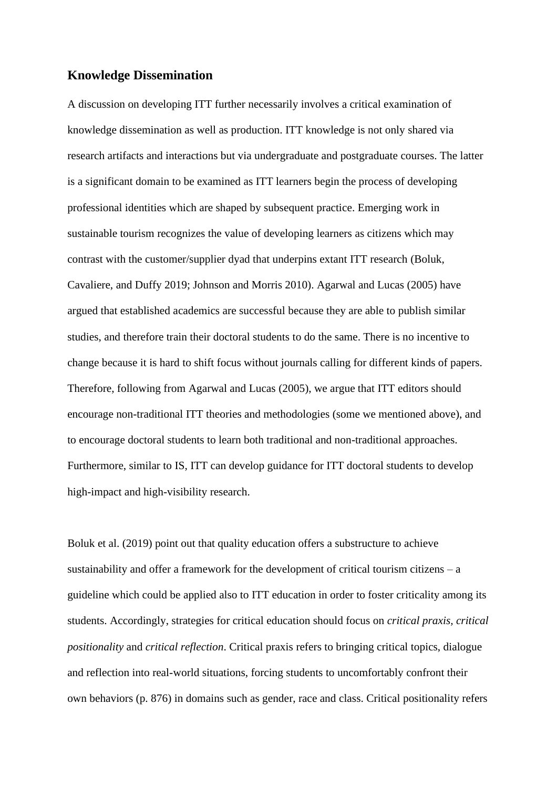## **Knowledge Dissemination**

A discussion on developing ITT further necessarily involves a critical examination of knowledge dissemination as well as production. ITT knowledge is not only shared via research artifacts and interactions but via undergraduate and postgraduate courses. The latter is a significant domain to be examined as ITT learners begin the process of developing professional identities which are shaped by subsequent practice. Emerging work in sustainable tourism recognizes the value of developing learners as citizens which may contrast with the customer/supplier dyad that underpins extant ITT research (Boluk, Cavaliere, and Duffy 2019; Johnson and Morris 2010). Agarwal and Lucas (2005) have argued that established academics are successful because they are able to publish similar studies, and therefore train their doctoral students to do the same. There is no incentive to change because it is hard to shift focus without journals calling for different kinds of papers. Therefore, following from Agarwal and Lucas (2005), we argue that ITT editors should encourage non-traditional ITT theories and methodologies (some we mentioned above), and to encourage doctoral students to learn both traditional and non-traditional approaches. Furthermore, similar to IS, ITT can develop guidance for ITT doctoral students to develop high-impact and high-visibility research.

Boluk et al. (2019) point out that quality education offers a substructure to achieve sustainability and offer a framework for the development of critical tourism citizens – a guideline which could be applied also to ITT education in order to foster criticality among its students. Accordingly, strategies for critical education should focus on *critical praxis, critical positionality* and *critical reflection*. Critical praxis refers to bringing critical topics, dialogue and reflection into real-world situations, forcing students to uncomfortably confront their own behaviors (p. 876) in domains such as gender, race and class. Critical positionality refers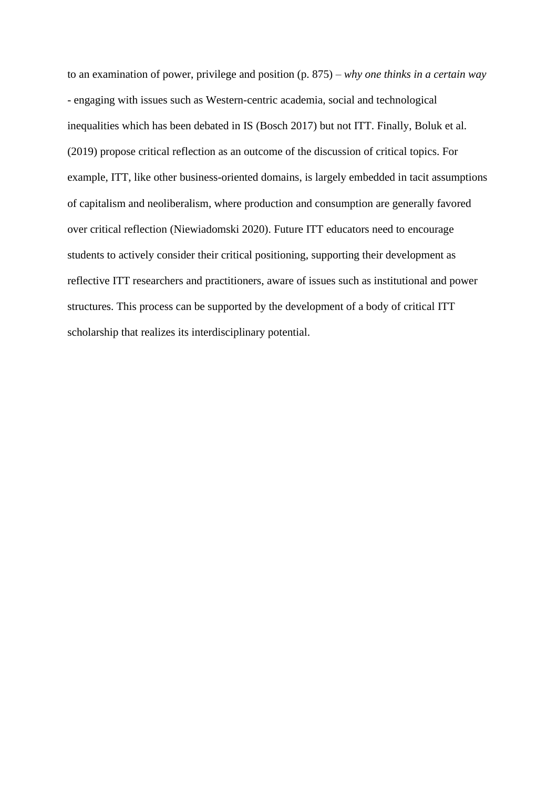to an examination of power, privilege and position (p. 875) – *why one thinks in a certain way* - engaging with issues such as Western-centric academia, social and technological inequalities which has been debated in IS (Bosch 2017) but not ITT. Finally, Boluk et al. (2019) propose critical reflection as an outcome of the discussion of critical topics. For example, ITT, like other business-oriented domains, is largely embedded in tacit assumptions of capitalism and neoliberalism, where production and consumption are generally favored over critical reflection (Niewiadomski 2020). Future ITT educators need to encourage students to actively consider their critical positioning, supporting their development as reflective ITT researchers and practitioners, aware of issues such as institutional and power structures. This process can be supported by the development of a body of critical ITT scholarship that realizes its interdisciplinary potential.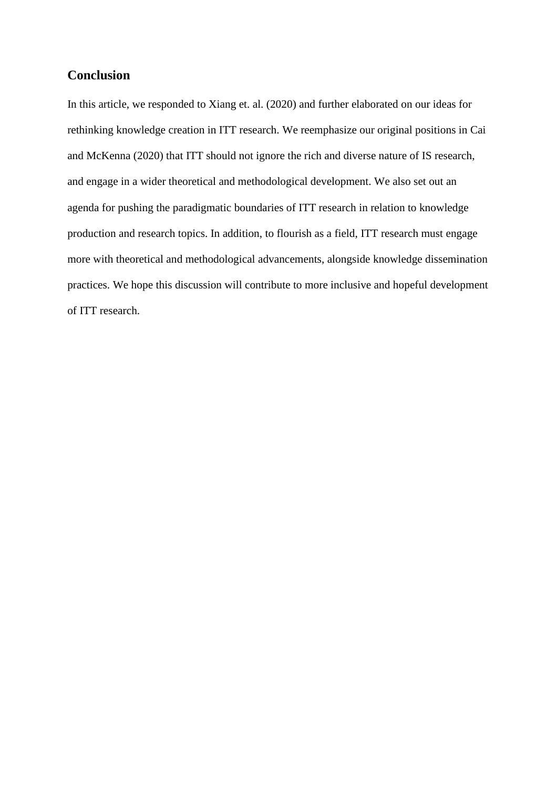# **Conclusion**

In this article, we responded to Xiang et. al. (2020) and further elaborated on our ideas for rethinking knowledge creation in ITT research. We reemphasize our original positions in Cai and McKenna (2020) that ITT should not ignore the rich and diverse nature of IS research, and engage in a wider theoretical and methodological development. We also set out an agenda for pushing the paradigmatic boundaries of ITT research in relation to knowledge production and research topics. In addition, to flourish as a field, ITT research must engage more with theoretical and methodological advancements, alongside knowledge dissemination practices. We hope this discussion will contribute to more inclusive and hopeful development of ITT research.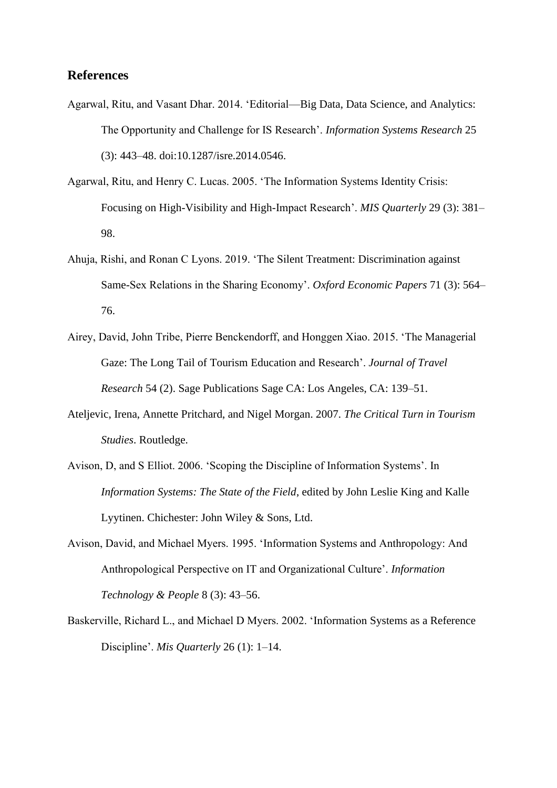# **References**

- Agarwal, Ritu, and Vasant Dhar. 2014. 'Editorial—Big Data, Data Science, and Analytics: The Opportunity and Challenge for IS Research'. *Information Systems Research* 25 (3): 443–48. doi:10.1287/isre.2014.0546.
- Agarwal, Ritu, and Henry C. Lucas. 2005. 'The Information Systems Identity Crisis: Focusing on High-Visibility and High-Impact Research'. *MIS Quarterly* 29 (3): 381– 98.
- Ahuja, Rishi, and Ronan C Lyons. 2019. 'The Silent Treatment: Discrimination against Same-Sex Relations in the Sharing Economy'. *Oxford Economic Papers* 71 (3): 564– 76.
- Airey, David, John Tribe, Pierre Benckendorff, and Honggen Xiao. 2015. 'The Managerial Gaze: The Long Tail of Tourism Education and Research'. *Journal of Travel Research* 54 (2). Sage Publications Sage CA: Los Angeles, CA: 139–51.
- Ateljevic, Irena, Annette Pritchard, and Nigel Morgan. 2007. *The Critical Turn in Tourism Studies*. Routledge.
- Avison, D, and S Elliot. 2006. 'Scoping the Discipline of Information Systems'. In *Information Systems: The State of the Field*, edited by John Leslie King and Kalle Lyytinen. Chichester: John Wiley & Sons, Ltd.
- Avison, David, and Michael Myers. 1995. 'Information Systems and Anthropology: And Anthropological Perspective on IT and Organizational Culture'. *Information Technology & People* 8 (3): 43–56.
- Baskerville, Richard L., and Michael D Myers. 2002. 'Information Systems as a Reference Discipline'. *Mis Quarterly* 26 (1): 1–14.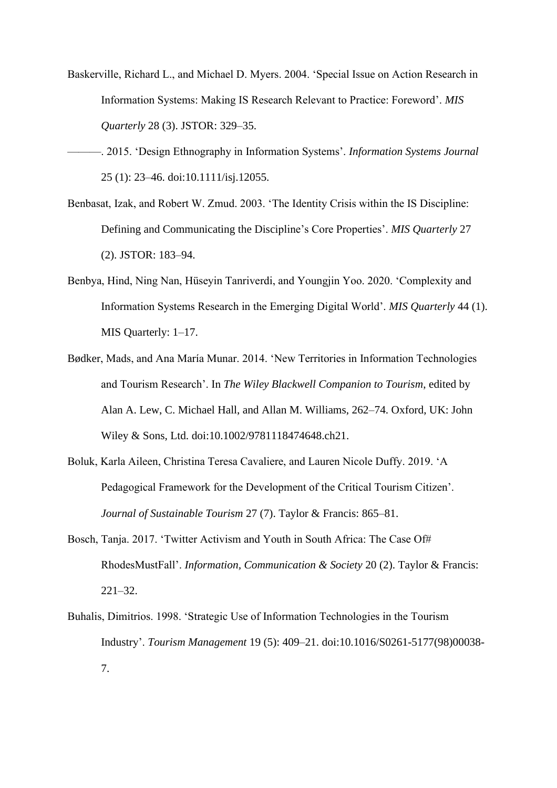- Baskerville, Richard L., and Michael D. Myers. 2004. 'Special Issue on Action Research in Information Systems: Making IS Research Relevant to Practice: Foreword'. *MIS Quarterly* 28 (3). JSTOR: 329–35.
- ———. 2015. 'Design Ethnography in Information Systems'. *Information Systems Journal* 25 (1): 23–46. doi:10.1111/isj.12055.
- Benbasat, Izak, and Robert W. Zmud. 2003. 'The Identity Crisis within the IS Discipline: Defining and Communicating the Discipline's Core Properties'. *MIS Quarterly* 27 (2). JSTOR: 183–94.
- Benbya, Hind, Ning Nan, Hüseyin Tanriverdi, and Youngjin Yoo. 2020. 'Complexity and Information Systems Research in the Emerging Digital World'. *MIS Quarterly* 44 (1). MIS Quarterly: 1–17.
- Bødker, Mads, and Ana María Munar. 2014. 'New Territories in Information Technologies and Tourism Research'. In *The Wiley Blackwell Companion to Tourism*, edited by Alan A. Lew, C. Michael Hall, and Allan M. Williams, 262–74. Oxford, UK: John Wiley & Sons, Ltd. doi:10.1002/9781118474648.ch21.
- Boluk, Karla Aileen, Christina Teresa Cavaliere, and Lauren Nicole Duffy. 2019. 'A Pedagogical Framework for the Development of the Critical Tourism Citizen'. *Journal of Sustainable Tourism* 27 (7). Taylor & Francis: 865–81.
- Bosch, Tanja. 2017. 'Twitter Activism and Youth in South Africa: The Case Of# RhodesMustFall'. *Information, Communication & Society* 20 (2). Taylor & Francis: 221–32.
- Buhalis, Dimitrios. 1998. 'Strategic Use of Information Technologies in the Tourism Industry'. *Tourism Management* 19 (5): 409–21. doi:10.1016/S0261-5177(98)00038- 7.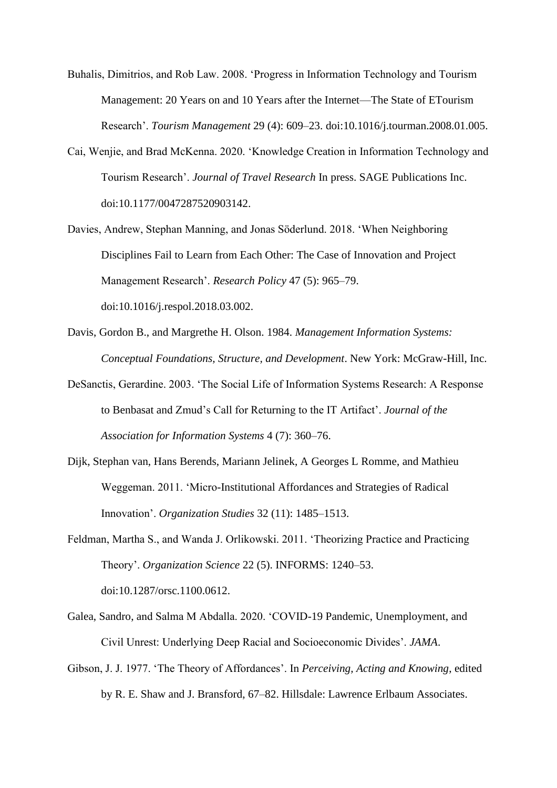- Buhalis, Dimitrios, and Rob Law. 2008. 'Progress in Information Technology and Tourism Management: 20 Years on and 10 Years after the Internet—The State of ETourism Research'. *Tourism Management* 29 (4): 609–23. doi:10.1016/j.tourman.2008.01.005.
- Cai, Wenjie, and Brad McKenna. 2020. 'Knowledge Creation in Information Technology and Tourism Research'. *Journal of Travel Research* In press. SAGE Publications Inc. doi:10.1177/0047287520903142.
- Davies, Andrew, Stephan Manning, and Jonas Söderlund. 2018. 'When Neighboring Disciplines Fail to Learn from Each Other: The Case of Innovation and Project Management Research'. *Research Policy* 47 (5): 965–79. doi:10.1016/j.respol.2018.03.002.
- Davis, Gordon B., and Margrethe H. Olson. 1984. *Management Information Systems: Conceptual Foundations, Structure, and Development*. New York: McGraw-Hill, Inc.
- DeSanctis, Gerardine. 2003. 'The Social Life of Information Systems Research: A Response to Benbasat and Zmud's Call for Returning to the IT Artifact'. *Journal of the Association for Information Systems* 4 (7): 360–76.
- Dijk, Stephan van, Hans Berends, Mariann Jelinek, A Georges L Romme, and Mathieu Weggeman. 2011. 'Micro-Institutional Affordances and Strategies of Radical Innovation'. *Organization Studies* 32 (11): 1485–1513.
- Feldman, Martha S., and Wanda J. Orlikowski. 2011. 'Theorizing Practice and Practicing Theory'. *Organization Science* 22 (5). INFORMS: 1240–53. doi:10.1287/orsc.1100.0612.
- Galea, Sandro, and Salma M Abdalla. 2020. 'COVID-19 Pandemic, Unemployment, and Civil Unrest: Underlying Deep Racial and Socioeconomic Divides'. *JAMA*.
- Gibson, J. J. 1977. 'The Theory of Affordances'. In *Perceiving, Acting and Knowing*, edited by R. E. Shaw and J. Bransford, 67–82. Hillsdale: Lawrence Erlbaum Associates.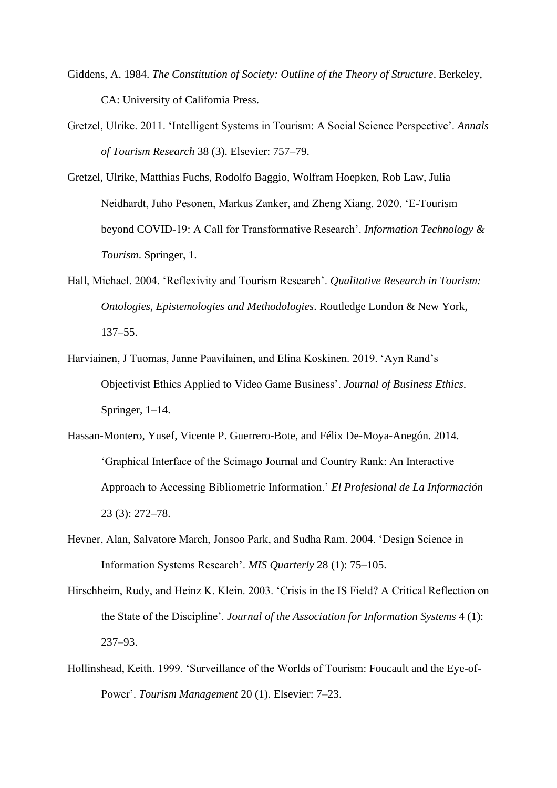- Giddens, A. 1984. *The Constitution of Society: Outline of the Theory of Structure*. Berkeley, CA: University of Califomia Press.
- Gretzel, Ulrike. 2011. 'Intelligent Systems in Tourism: A Social Science Perspective'. *Annals of Tourism Research* 38 (3). Elsevier: 757–79.
- Gretzel, Ulrike, Matthias Fuchs, Rodolfo Baggio, Wolfram Hoepken, Rob Law, Julia Neidhardt, Juho Pesonen, Markus Zanker, and Zheng Xiang. 2020. 'E-Tourism beyond COVID-19: A Call for Transformative Research'. *Information Technology & Tourism*. Springer, 1.
- Hall, Michael. 2004. 'Reflexivity and Tourism Research'. *Qualitative Research in Tourism: Ontologies, Epistemologies and Methodologies*. Routledge London & New York, 137–55.
- Harviainen, J Tuomas, Janne Paavilainen, and Elina Koskinen. 2019. 'Ayn Rand's Objectivist Ethics Applied to Video Game Business'. *Journal of Business Ethics*. Springer, 1–14.
- Hassan-Montero, Yusef, Vicente P. Guerrero-Bote, and Félix De-Moya-Anegón. 2014. 'Graphical Interface of the Scimago Journal and Country Rank: An Interactive Approach to Accessing Bibliometric Information.' *El Profesional de La Información* 23 (3): 272–78.
- Hevner, Alan, Salvatore March, Jonsoo Park, and Sudha Ram. 2004. 'Design Science in Information Systems Research'. *MIS Quarterly* 28 (1): 75–105.
- Hirschheim, Rudy, and Heinz K. Klein. 2003. 'Crisis in the IS Field? A Critical Reflection on the State of the Discipline'. *Journal of the Association for Information Systems* 4 (1): 237–93.
- Hollinshead, Keith. 1999. 'Surveillance of the Worlds of Tourism: Foucault and the Eye-of-Power'. *Tourism Management* 20 (1). Elsevier: 7–23.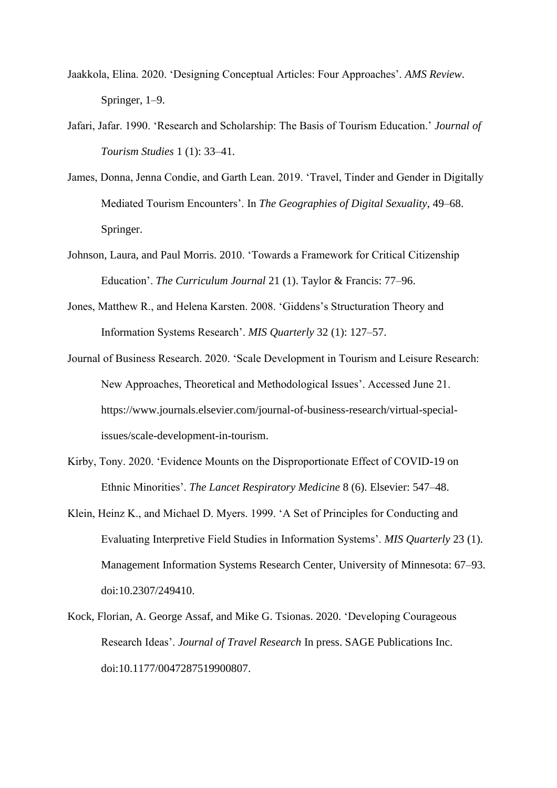- Jaakkola, Elina. 2020. 'Designing Conceptual Articles: Four Approaches'. *AMS Review*. Springer, 1–9.
- Jafari, Jafar. 1990. 'Research and Scholarship: The Basis of Tourism Education.' *Journal of Tourism Studies* 1 (1): 33–41.
- James, Donna, Jenna Condie, and Garth Lean. 2019. 'Travel, Tinder and Gender in Digitally Mediated Tourism Encounters'. In *The Geographies of Digital Sexuality*, 49–68. Springer.
- Johnson, Laura, and Paul Morris. 2010. 'Towards a Framework for Critical Citizenship Education'. *The Curriculum Journal* 21 (1). Taylor & Francis: 77–96.
- Jones, Matthew R., and Helena Karsten. 2008. 'Giddens's Structuration Theory and Information Systems Research'. *MIS Quarterly* 32 (1): 127–57.
- Journal of Business Research. 2020. 'Scale Development in Tourism and Leisure Research: New Approaches, Theoretical and Methodological Issues'. Accessed June 21. https://www.journals.elsevier.com/journal-of-business-research/virtual-specialissues/scale-development-in-tourism.
- Kirby, Tony. 2020. 'Evidence Mounts on the Disproportionate Effect of COVID-19 on Ethnic Minorities'. *The Lancet Respiratory Medicine* 8 (6). Elsevier: 547–48.
- Klein, Heinz K., and Michael D. Myers. 1999. 'A Set of Principles for Conducting and Evaluating Interpretive Field Studies in Information Systems'. *MIS Quarterly* 23 (1). Management Information Systems Research Center, University of Minnesota: 67–93. doi:10.2307/249410.
- Kock, Florian, A. George Assaf, and Mike G. Tsionas. 2020. 'Developing Courageous Research Ideas'. *Journal of Travel Research* In press. SAGE Publications Inc. doi:10.1177/0047287519900807.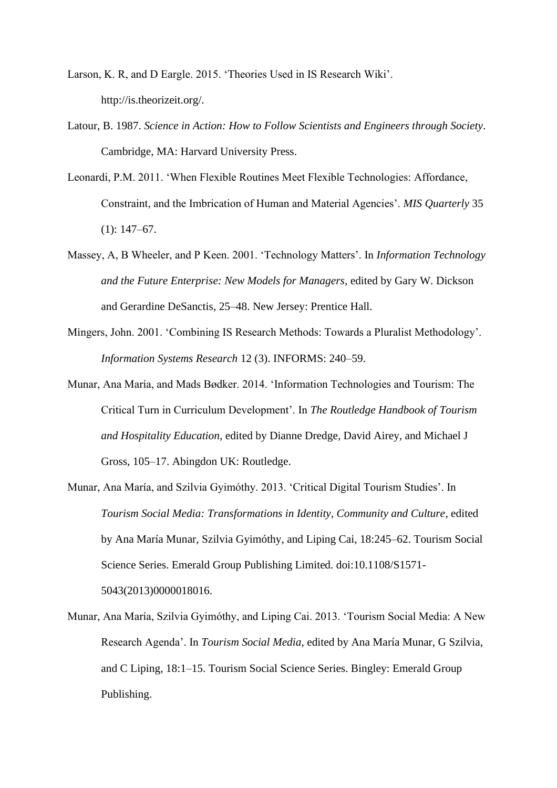- Larson, K. R, and D Eargle. 2015. 'Theories Used in IS Research Wiki'. http://is.theorizeit.org/.
- Latour, B. 1987. *Science in Action: How to Follow Scientists and Engineers through Society*. Cambridge, MA: Harvard University Press.
- Leonardi, P.M. 2011. 'When Flexible Routines Meet Flexible Technologies: Affordance, Constraint, and the Imbrication of Human and Material Agencies'. *MIS Quarterly* 35 (1): 147–67.
- Massey, A, B Wheeler, and P Keen. 2001. 'Technology Matters'. In *Information Technology and the Future Enterprise: New Models for Managers*, edited by Gary W. Dickson and Gerardine DeSanctis, 25–48. New Jersey: Prentice Hall.
- Mingers, John. 2001. 'Combining IS Research Methods: Towards a Pluralist Methodology'. *Information Systems Research* 12 (3). INFORMS: 240–59.
- Munar, Ana María, and Mads Bødker. 2014. 'Information Technologies and Tourism: The Critical Turn in Curriculum Development'. In *The Routledge Handbook of Tourism and Hospitality Education*, edited by Dianne Dredge, David Airey, and Michael J Gross, 105–17. Abingdon UK: Routledge.
- Munar, Ana María, and Szilvia Gyimóthy. 2013. 'Critical Digital Tourism Studies'. In *Tourism Social Media: Transformations in Identity, Community and Culture*, edited by Ana María Munar, Szilvia Gyimóthy, and Liping Cai, 18:245–62. Tourism Social Science Series. Emerald Group Publishing Limited. doi:10.1108/S1571- 5043(2013)0000018016.
- Munar, Ana María, Szilvia Gyimóthy, and Liping Cai. 2013. 'Tourism Social Media: A New Research Agenda'. In *Tourism Social Media*, edited by Ana María Munar, G Szilvia, and C Liping, 18:1–15. Tourism Social Science Series. Bingley: Emerald Group Publishing.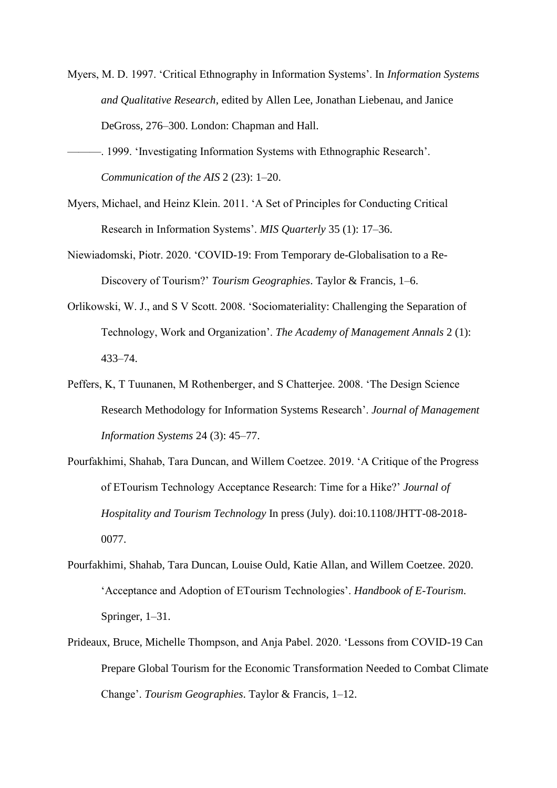- Myers, M. D. 1997. 'Critical Ethnography in Information Systems'. In *Information Systems and Qualitative Research*, edited by Allen Lee, Jonathan Liebenau, and Janice DeGross, 276–300. London: Chapman and Hall.
- -. 1999. 'Investigating Information Systems with Ethnographic Research'. *Communication of the AIS* 2 (23): 1–20.
- Myers, Michael, and Heinz Klein. 2011. 'A Set of Principles for Conducting Critical Research in Information Systems'. *MIS Quarterly* 35 (1): 17–36.
- Niewiadomski, Piotr. 2020. 'COVID-19: From Temporary de-Globalisation to a Re-Discovery of Tourism?' *Tourism Geographies*. Taylor & Francis, 1–6.
- Orlikowski, W. J., and S V Scott. 2008. 'Sociomateriality: Challenging the Separation of Technology, Work and Organization'. *The Academy of Management Annals* 2 (1): 433–74.
- Peffers, K, T Tuunanen, M Rothenberger, and S Chatterjee. 2008. 'The Design Science Research Methodology for Information Systems Research'. *Journal of Management Information Systems* 24 (3): 45–77.
- Pourfakhimi, Shahab, Tara Duncan, and Willem Coetzee. 2019. 'A Critique of the Progress of ETourism Technology Acceptance Research: Time for a Hike?' *Journal of Hospitality and Tourism Technology* In press (July). doi:10.1108/JHTT-08-2018- 0077.
- Pourfakhimi, Shahab, Tara Duncan, Louise Ould, Katie Allan, and Willem Coetzee. 2020. 'Acceptance and Adoption of ETourism Technologies'. *Handbook of E-Tourism*. Springer, 1–31.
- Prideaux, Bruce, Michelle Thompson, and Anja Pabel. 2020. 'Lessons from COVID-19 Can Prepare Global Tourism for the Economic Transformation Needed to Combat Climate Change'. *Tourism Geographies*. Taylor & Francis, 1–12.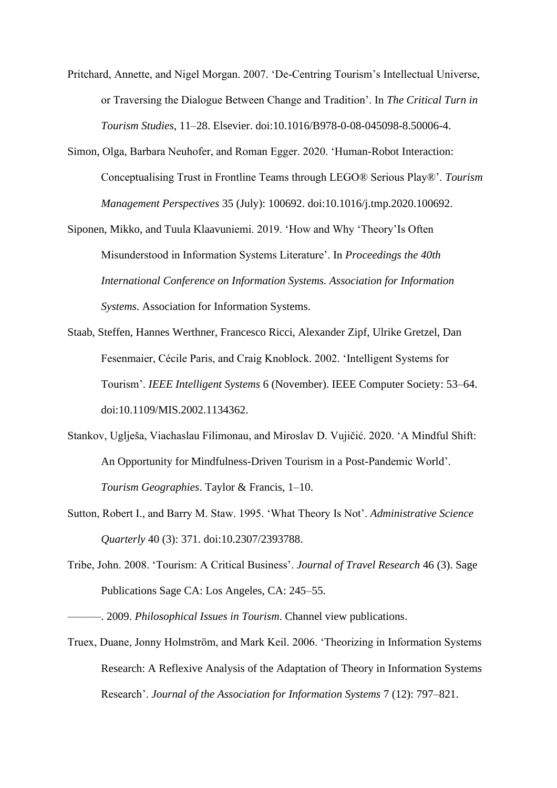- Pritchard, Annette, and Nigel Morgan. 2007. 'De-Centring Tourism's Intellectual Universe, or Traversing the Dialogue Between Change and Tradition'. In *The Critical Turn in Tourism Studies*, 11–28. Elsevier. doi:10.1016/B978-0-08-045098-8.50006-4.
- Simon, Olga, Barbara Neuhofer, and Roman Egger. 2020. 'Human-Robot Interaction: Conceptualising Trust in Frontline Teams through LEGO® Serious Play®'. *Tourism Management Perspectives* 35 (July): 100692. doi:10.1016/j.tmp.2020.100692.
- Siponen, Mikko, and Tuula Klaavuniemi. 2019. 'How and Why 'Theory'Is Often Misunderstood in Information Systems Literature'. In *Proceedings the 40th International Conference on Information Systems. Association for Information Systems*. Association for Information Systems.
- Staab, Steffen, Hannes Werthner, Francesco Ricci, Alexander Zipf, Ulrike Gretzel, Dan Fesenmaier, Cécile Paris, and Craig Knoblock. 2002. 'Intelligent Systems for Tourism'. *IEEE Intelligent Systems* 6 (November). IEEE Computer Society: 53–64. doi:10.1109/MIS.2002.1134362.
- Stankov, Uglješa, Viachaslau Filimonau, and Miroslav D. Vujičić. 2020. 'A Mindful Shift: An Opportunity for Mindfulness-Driven Tourism in a Post-Pandemic World'. *Tourism Geographies*. Taylor & Francis, 1–10.
- Sutton, Robert I., and Barry M. Staw. 1995. 'What Theory Is Not'. *Administrative Science Quarterly* 40 (3): 371. doi:10.2307/2393788.
- Tribe, John. 2008. 'Tourism: A Critical Business'. *Journal of Travel Research* 46 (3). Sage Publications Sage CA: Los Angeles, CA: 245–55.

Truex, Duane, Jonny Holmström, and Mark Keil. 2006. 'Theorizing in Information Systems Research: A Reflexive Analysis of the Adaptation of Theory in Information Systems Research'. *Journal of the Association for Information Systems* 7 (12): 797–821.

<sup>———. 2009.</sup> *Philosophical Issues in Tourism*. Channel view publications.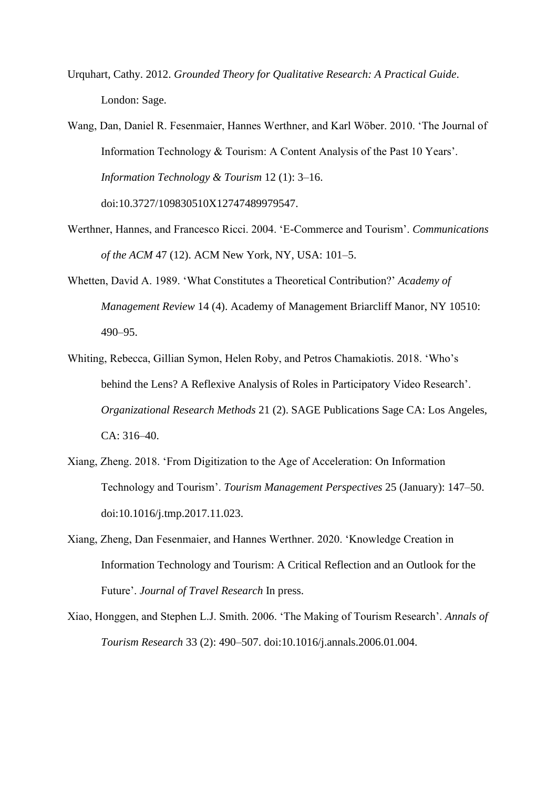- Urquhart, Cathy. 2012. *Grounded Theory for Qualitative Research: A Practical Guide*. London: Sage.
- Wang, Dan, Daniel R. Fesenmaier, Hannes Werthner, and Karl Wöber. 2010. 'The Journal of Information Technology & Tourism: A Content Analysis of the Past 10 Years'. *Information Technology & Tourism* 12 (1): 3–16. doi:10.3727/109830510X12747489979547.
- Werthner, Hannes, and Francesco Ricci. 2004. 'E-Commerce and Tourism'. *Communications of the ACM* 47 (12). ACM New York, NY, USA: 101–5.
- Whetten, David A. 1989. 'What Constitutes a Theoretical Contribution?' *Academy of Management Review* 14 (4). Academy of Management Briarcliff Manor, NY 10510: 490–95.
- Whiting, Rebecca, Gillian Symon, Helen Roby, and Petros Chamakiotis. 2018. 'Who's behind the Lens? A Reflexive Analysis of Roles in Participatory Video Research'. *Organizational Research Methods* 21 (2). SAGE Publications Sage CA: Los Angeles, CA: 316–40.
- Xiang, Zheng. 2018. 'From Digitization to the Age of Acceleration: On Information Technology and Tourism'. *Tourism Management Perspectives* 25 (January): 147–50. doi:10.1016/j.tmp.2017.11.023.
- Xiang, Zheng, Dan Fesenmaier, and Hannes Werthner. 2020. 'Knowledge Creation in Information Technology and Tourism: A Critical Reflection and an Outlook for the Future'. *Journal of Travel Research* In press.
- Xiao, Honggen, and Stephen L.J. Smith. 2006. 'The Making of Tourism Research'. *Annals of Tourism Research* 33 (2): 490–507. doi:10.1016/j.annals.2006.01.004.